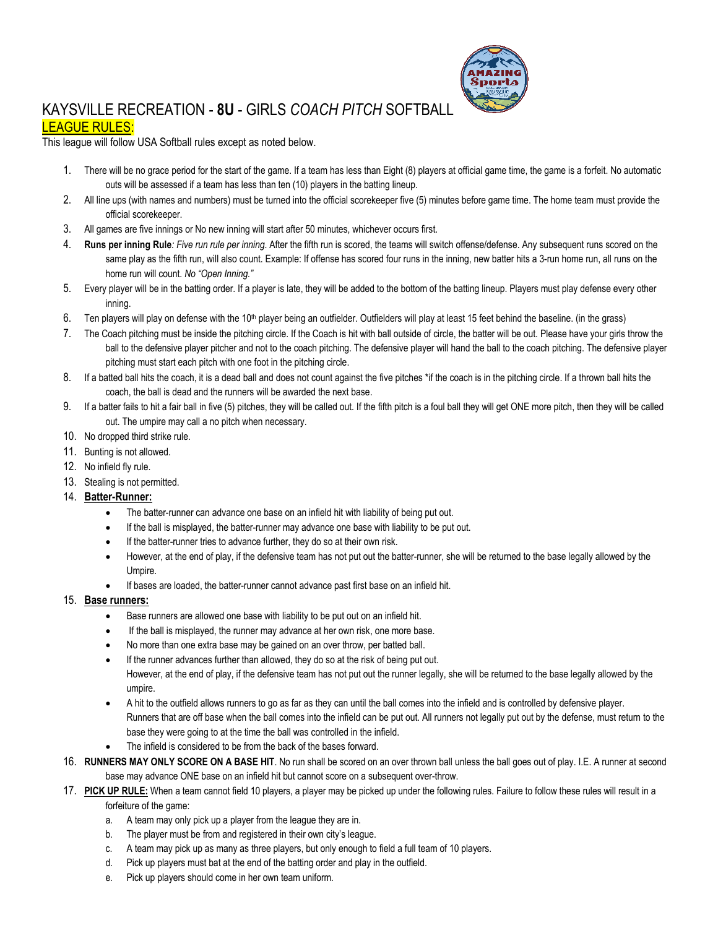

## KAYSVILLE RECREATION - **8U** - GIRLS *COACH PITCH* SOFTBALL

## LEAGUE RULES:

This league will follow USA Softball rules except as noted below.

- 1. There will be no grace period for the start of the game. If a team has less than Eight (8) players at official game time, the game is a forfeit. No automatic outs will be assessed if a team has less than ten (10) players in the batting lineup.
- 2. All line ups (with names and numbers) must be turned into the official scorekeeper five (5) minutes before game time. The home team must provide the official scorekeeper.
- 3. All games are five innings or No new inning will start after 50 minutes, whichever occurs first.
- 4. **Runs per inning Rule***: Five run rule per inning*. After the fifth run is scored, the teams will switch offense/defense. Any subsequent runs scored on the same play as the fifth run, will also count. Example: If offense has scored four runs in the inning, new batter hits a 3-run home run, all runs on the home run will count. *No "Open Inning."*
- 5. Every player will be in the batting order. If a player is late, they will be added to the bottom of the batting lineup. Players must play defense every other inning.
- 6. Ten players will play on defense with the 10<sup>th</sup> player being an outfielder. Outfielders will play at least 15 feet behind the baseline. (in the grass)
- 7. The Coach pitching must be inside the pitching circle. If the Coach is hit with ball outside of circle, the batter will be out. Please have your girls throw the ball to the defensive player pitcher and not to the coach pitching. The defensive player will hand the ball to the coach pitching. The defensive player pitching must start each pitch with one foot in the pitching circle.
- 8. If a batted ball hits the coach, it is a dead ball and does not count against the five pitches \*if the coach is in the pitching circle. If a thrown ball hits the coach, the ball is dead and the runners will be awarded the next base.
- 9. If a batter fails to hit a fair ball in five (5) pitches, they will be called out. If the fifth pitch is a foul ball they will get ONE more pitch, then they will be called out. The umpire may call a no pitch when necessary.
- 10. No dropped third strike rule.
- 11. Bunting is not allowed.
- 12. No infield fly rule.
- 13. Stealing is not permitted.
- 14. **Batter-Runner:**
	- The batter-runner can advance one base on an infield hit with liability of being put out.
	- If the ball is misplayed, the batter-runner may advance one base with liability to be put out.
	- If the batter-runner tries to advance further, they do so at their own risk.
	- However, at the end of play, if the defensive team has not put out the batter-runner, she will be returned to the base legally allowed by the Umpire.
	- If bases are loaded, the batter-runner cannot advance past first base on an infield hit.

## 15. **Base runners:**

- Base runners are allowed one base with liability to be put out on an infield hit.
- If the ball is misplayed, the runner may advance at her own risk, one more base.
- No more than one extra base may be gained on an over throw, per batted ball.
- If the runner advances further than allowed, they do so at the risk of being put out. However, at the end of play, if the defensive team has not put out the runner legally, she will be returned to the base legally allowed by the umpire.
- A hit to the outfield allows runners to go as far as they can until the ball comes into the infield and is controlled by defensive player. Runners that are off base when the ball comes into the infield can be put out. All runners not legally put out by the defense, must return to the base they were going to at the time the ball was controlled in the infield.
- The infield is considered to be from the back of the bases forward.
- 16. **RUNNERS MAY ONLY SCORE ON A BASE HIT**. No run shall be scored on an over thrown ball unless the ball goes out of play. I.E. A runner at second base may advance ONE base on an infield hit but cannot score on a subsequent over-throw.
- 17. PICK UP RULE: When a team cannot field 10 players, a player may be picked up under the following rules. Failure to follow these rules will result in a forfeiture of the game:
	- a. A team may only pick up a player from the league they are in.
	- b. The player must be from and registered in their own city's league.
	- c. A team may pick up as many as three players, but only enough to field a full team of 10 players.
	- d. Pick up players must bat at the end of the batting order and play in the outfield.
	- e. Pick up players should come in her own team uniform.